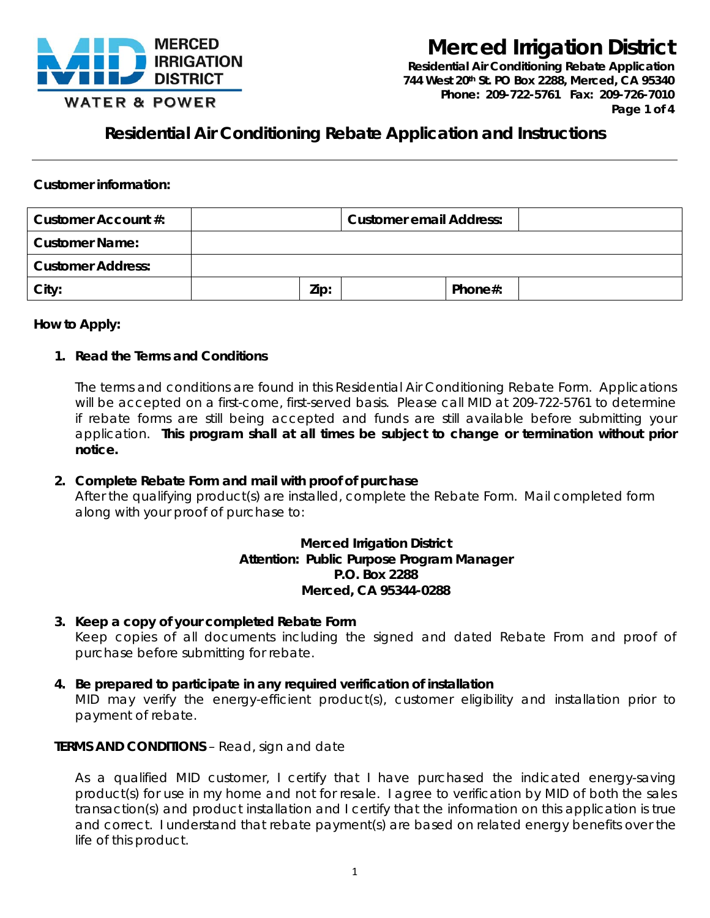

**Residential Air Conditioning Rebate Application** *744 West 20th St. PO Box 2288, Merced, CA 95340 Phone: 209-722-5761 Fax: 209-726-7010 Page 1 of 4*

**Residential Air Conditioning Rebate Application and Instructions**

#### **Customer information:**

| Customer Account #:      | <b>Customer email Address:</b> |  |         |  |
|--------------------------|--------------------------------|--|---------|--|
| <b>Customer Name:</b>    |                                |  |         |  |
| <b>Customer Address:</b> |                                |  |         |  |
| City:                    | Zip:                           |  | Phone#: |  |

#### **How to Apply:**

#### **1. Read the Terms and Conditions**

The terms and conditions are found in this Residential Air Conditioning Rebate Form. Applications will be accepted on a first-come, first-served basis. Please call MID at 209-722-5761 to determine if rebate forms are still being accepted and funds are still available before submitting your application. **This program shall at all times be subject to change or termination without prior notice.**

#### **2. Complete Rebate Form and mail with proof of purchase**

After the qualifying product(s) are installed, complete the Rebate Form. Mail completed form along with your proof of purchase to:

#### **Merced Irrigation District Attention: Public Purpose Program Manager P.O. Box 2288 Merced, CA 95344-0288**

- **3. Keep a copy of your completed Rebate Form** Keep copies of all documents including the signed and dated Rebate From and proof of purchase before submitting for rebate.
- **4. Be prepared to participate in any required verification of installation** MID may verify the energy-efficient product(s), customer eligibility and installation prior to payment of rebate.

#### **TERMS AND CONDITIONS** – Read, sign and date

As a qualified MID customer, I certify that I have purchased the indicated energy-saving product(s) for use in my home and not for resale. I agree to verification by MID of both the sales transaction(s) and product installation and I certify that the information on this application is true and correct. I understand that rebate payment(s) are based on related energy benefits over the life of this product.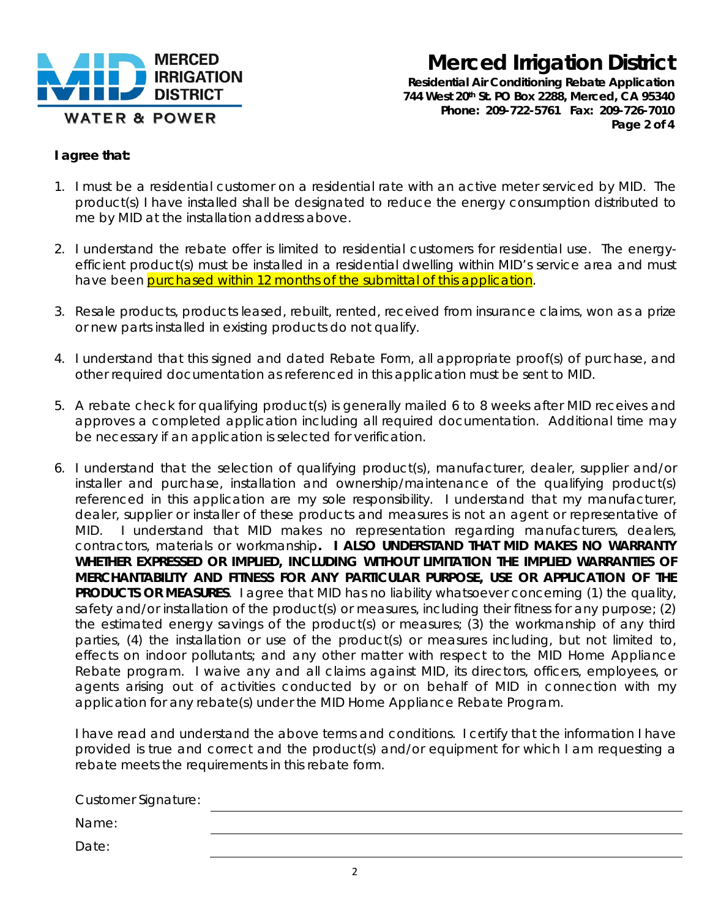

**Residential Air Conditioning Rebate Application** *744 West 20th St. PO Box 2288, Merced, CA 95340 Phone: 209-722-5761 Fax: 209-726-7010 Page 2 of 4*

#### **I agree that:**

- 1. I must be a residential customer on a residential rate with an active meter serviced by MID. The product(s) I have installed shall be designated to reduce the energy consumption distributed to me by MID at the installation address above.
- 2. I understand the rebate offer is limited to residential customers for residential use. The energyefficient product(s) must be installed in a residential dwelling within MID's service area and must have been **purchased within 12 months of the submittal of this application**.
- 3. Resale products, products leased, rebuilt, rented, received from insurance claims, won as a prize or new parts installed in existing products do not qualify.
- 4. I understand that this signed and dated Rebate Form, all appropriate proof(s) of purchase, and other required documentation as referenced in this application must be sent to MID.
- 5. A rebate check for qualifying product(s) is generally mailed 6 to 8 weeks after MID receives and approves a completed application including all required documentation. Additional time may be necessary if an application is selected for verification.
- 6. I understand that the selection of qualifying product(s), manufacturer, dealer, supplier and/or installer and purchase, installation and ownership/maintenance of the qualifying product(s) referenced in this application are my sole responsibility. I understand that my manufacturer, dealer, supplier or installer of these products and measures is not an agent or representative of MID. I understand that MID makes no representation regarding manufacturers, dealers, contractors, materials or workmanship**. I ALSO UNDERSTAND THAT MID MAKES NO WARRANTY WHETHER EXPRESSED OR IMPLIED, INCLUDING WITHOUT LIMITATION THE IMPLIED WARRANTIES OF MERCHANTABILITY AND FITNESS FOR ANY PARTICULAR PURPOSE, USE OR APPLICATION OF THE PRODUCTS OR MEASURES**. I agree that MID has no liability whatsoever concerning (1) the quality, safety and/or installation of the product(s) or measures, including their fitness for any purpose; (2) the estimated energy savings of the product(s) or measures; (3) the workmanship of any third parties, (4) the installation or use of the product(s) or measures including, but not limited to, effects on indoor pollutants; and any other matter with respect to the MID Home Appliance Rebate program. I waive any and all claims against MID, its directors, officers, employees, or agents arising out of activities conducted by or on behalf of MID in connection with my application for any rebate(s) under the MID Home Appliance Rebate Program.

I have read and understand the above terms and conditions. I certify that the information I have provided is true and correct and the product(s) and/or equipment for which I am requesting a rebate meets the requirements in this rebate form.

| <b>Customer Signature:</b> |  |  |
|----------------------------|--|--|
| Name:                      |  |  |
|                            |  |  |

Date: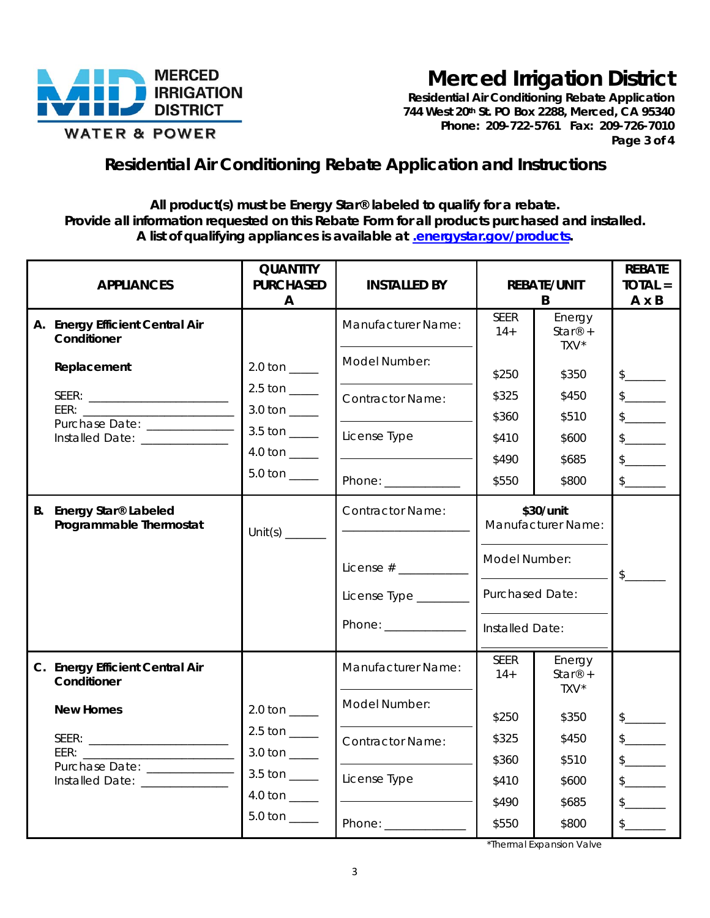

**Residential Air Conditioning Rebate Application** *744 West 20th St. PO Box 2288, Merced, CA 95340 Phone: 209-722-5761 Fax: 209-726-7010 Page 3 of 4*

### **Residential Air Conditioning Rebate Application and Instructions**

**All product(s) must be Energy Star® labeled to qualify for a rebate. Provide all information requested on this Rebate Form for all products purchased and installed. A list of qualifying appliances is available at [.energystar.gov/products.](http://www.energystar.gov/products)**

| <b>APPLIANCES</b>                                                                                                                     | <b>QUANTITY</b><br><b>PURCHASED</b><br>A                                                         | <b>INSTALLED BY</b>                                                                                                                                                                                                                                                               |                                                                            | <b>REBATE/UNIT</b><br>B                                                                     | <b>REBATE</b><br>$TOIAL =$<br>$A \times B$                                                        |
|---------------------------------------------------------------------------------------------------------------------------------------|--------------------------------------------------------------------------------------------------|-----------------------------------------------------------------------------------------------------------------------------------------------------------------------------------------------------------------------------------------------------------------------------------|----------------------------------------------------------------------------|---------------------------------------------------------------------------------------------|---------------------------------------------------------------------------------------------------|
| A. Energy Efficient Central Air<br>Conditioner                                                                                        |                                                                                                  | Manufacturer Name:                                                                                                                                                                                                                                                                | <b>SEER</b><br>$14+$                                                       | Energy<br>Star <sup>®</sup> +<br>TXV*                                                       |                                                                                                   |
| Replacement<br>Purchase Date: _____________<br>Installed Date: _____________                                                          | 3.5 ton $\frac{1}{2}$<br>$5.0 \text{ ton}$ <sub>_____</sub>                                      | Model Number:<br><b>Contractor Name:</b><br>License Type<br>Phone: ______________                                                                                                                                                                                                 | \$250<br>\$325<br>\$360<br>\$410<br>\$490<br>\$550                         | \$350<br>\$450<br>\$510<br>\$600<br>\$685<br>\$800                                          | $\frac{1}{2}$<br>s<br>$\frac{1}{2}$<br>s<br>$\sim$<br>$\frac{1}{2}$                               |
| <b>B.</b> Energy Star® Labeled<br>Programmable Thermostat                                                                             | Unit(s) $\frac{1}{2}$                                                                            | <b>Contractor Name:</b><br>License Type _______<br>Phone: National Contract of the Contract of the Contract of the Contract of the Contract of the Contract of the Contract of the Contract of the Contract of the Contract of the Contract of the Contract of the Contract of th | Model Number:<br><b>Purchased Date:</b><br>Installed Date:                 | \$30/unit<br>Manufacturer Name:                                                             | $\frac{1}{2}$                                                                                     |
| C. Energy Efficient Central Air<br>Conditioner<br><b>New Homes</b><br>Purchase Date: _____________<br>Installed Date: _______________ | 2.0 ton $\frac{1}{2}$<br>2.5 ton $\frac{1}{2}$<br>3.5 ton $\frac{1}{2}$<br>4.0 ton $\frac{1}{2}$ | Manufacturer Name:<br>Model Number:<br><b>Contractor Name:</b><br>License Type<br>Phone: _____________                                                                                                                                                                            | <b>SEER</b><br>$14+$<br>\$250<br>\$325<br>\$360<br>\$410<br>\$490<br>\$550 | Energy<br>Star <sup>®</sup> +<br>TXV*<br>\$350<br>\$450<br>\$510<br>\$600<br>\$685<br>\$800 | $\frac{1}{2}$<br>$s$ <sub>_________</sub><br>$\frac{1}{2}$<br>s<br>$\frac{1}{2}$<br>$\frac{1}{2}$ |

\*Thermal Expansion Valve